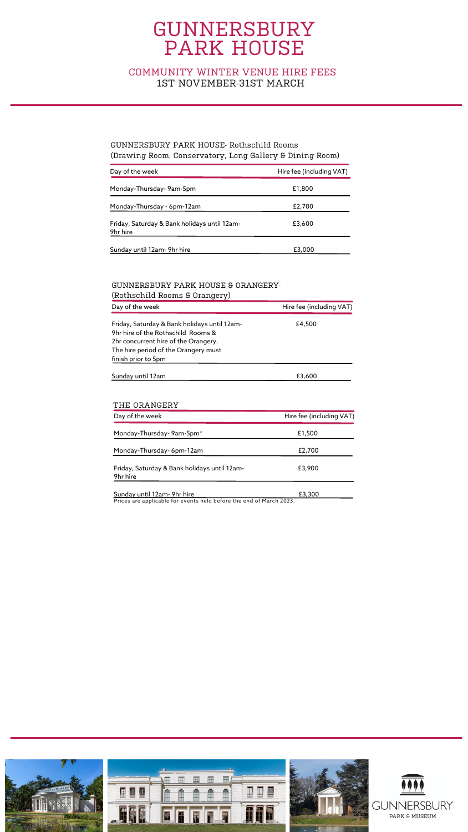### COMMUNITY WINTER VENUE HIRE FEES 1ST NOVEMBER-31ST MARCH

| Day of the week                                          | Hire fee (including VAT) |
|----------------------------------------------------------|--------------------------|
| Monday-Thursday- 9am-5pm                                 | £1,800                   |
| Monday-Thursday - 6pm-12am                               | £2,700                   |
| Friday, Saturday & Bank holidays until 12am-<br>9hr hire | £3,600                   |
| Sunday until 12am- 9hr hire                              | £3,000                   |

| (ROURSCHILLE ROOMS & OFGINGTY)                                                                                                                                                            |                          |
|-------------------------------------------------------------------------------------------------------------------------------------------------------------------------------------------|--------------------------|
| Day of the week                                                                                                                                                                           | Hire fee (including VAT) |
| Friday, Saturday & Bank holidays until 12am-<br>9hr hire of the Rothschild Rooms &<br>2hr concurrent hire of the Orangery.<br>The hire period of the Orangery must<br>finish prior to 5pm | £4,500                   |
| Sunday until 12am                                                                                                                                                                         | £3,600                   |

#### GUNNERSBURY PARK HOUSE- Rothschild Rooms (Drawing Room, Conservatory, Long Gallery & Dining Room)

#### GUNNERSBURY PARK HOUSE & ORANGERY- (Rothschild Rooms & Orangery)

| Day of the week                                          | Hire fee (including VAT) |
|----------------------------------------------------------|--------------------------|
| Monday-Thursday- 9am-5pm*                                | £1,500                   |
| Monday-Thursday- 6pm-12am                                | £2,700                   |
| Friday, Saturday & Bank holidays until 12am-<br>9hr hire | £3,900                   |
| Sunday until 12am- 9hr hire                              | £3,300                   |

#### THE ORANGERY

Prices are applicable for events held before the end of March 2023.

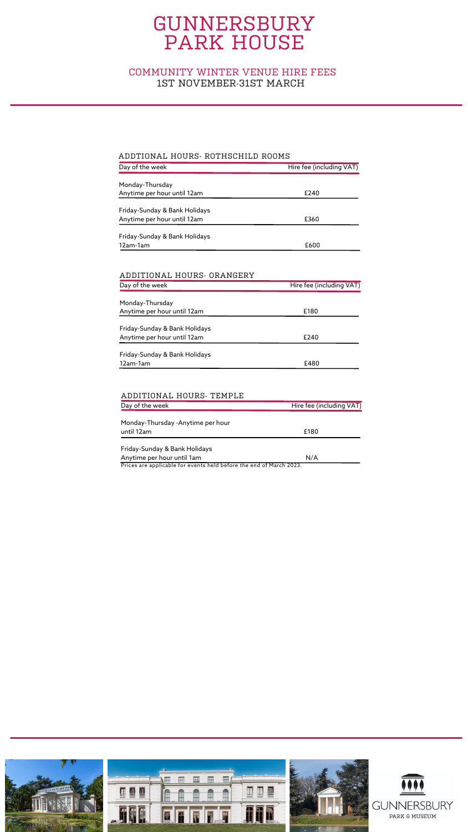| Day of the week               | Hire fee (including VAT) |
|-------------------------------|--------------------------|
|                               |                          |
| Monday-Thursday               |                          |
| Anytime per hour until 12am   | £240                     |
|                               |                          |
| Friday-Sunday & Bank Holidays |                          |
| Anytime per hour until 12am   | £360                     |
| Friday-Sunday & Bank Holidays |                          |
| 12am-1am                      | £600                     |
|                               |                          |

| Day of the week               | Hire fee (including VAT) |
|-------------------------------|--------------------------|
|                               |                          |
| Monday-Thursday               |                          |
| Anytime per hour until 12am   | £180                     |
| Friday-Sunday & Bank Holidays |                          |
| Anytime per hour until 12am   | £240                     |
| Friday-Sunday & Bank Holidays |                          |
| 12am-1am                      | £480                     |

| Day of the week                                                                        | Hire fee (including VAT)  |  |
|----------------------------------------------------------------------------------------|---------------------------|--|
| Monday-Thursday -Anytime per hour                                                      |                           |  |
| until 12am                                                                             | £180                      |  |
| Friday-Sunday & Bank Holidays                                                          |                           |  |
| Anytime per hour until 1am<br>$\sim$ $\cdot$<br>.<br>. .<br>$\cdots$ $\cdots$ $\cdots$ | N/A<br><b>CA4</b><br>,,,, |  |

#### ADDTIONAL HOURS- ROTHSCHILD ROOMS

Prices are applicable for events held before the end of March 2023.



#### ADDITIONAL HOURS- ORANGERY

#### ADDITIONAL HOURS- TEMPLE

### COMMUNITY WINTER VENUE HIRE FEES 1ST NOVEMBER-31ST MARCH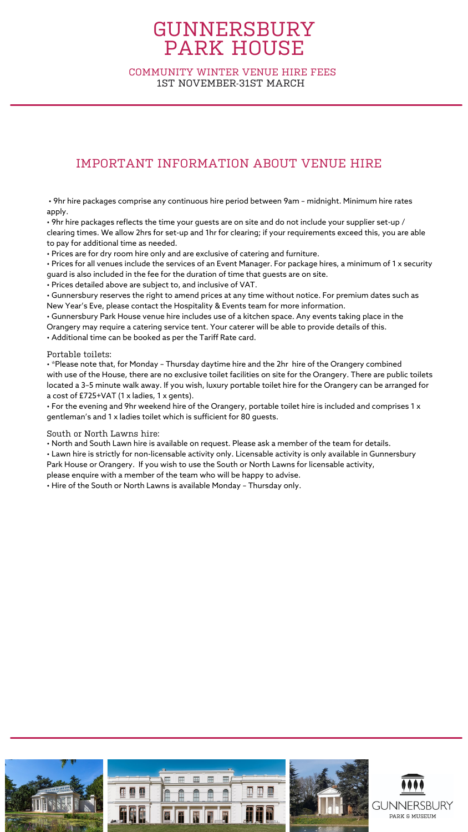### IMPORTANT INFORMATION ABOUT VENUE HIRE

• 9hr hire packages comprise any continuous hire period between 9am – midnight. Minimum hire rates apply.

 $\bm{\cdot}$  9hr hire packages reflects the time your guests are on site and do not include your supplier set-up / clearing times. We allow 2hrs for set-up and 1hr for clearing; if your requirements exceed this, you are able to pay for additional time as needed.

• Prices are for dry room hire only and are exclusive of catering and furniture.

• Prices for all venues include the services of an Event Manager. For package hires, a minimum of 1 x security guard is also included in the fee for the duration of time that guests are on site.

• Prices detailed above are subject to, and inclusive of VAT.

• Gunnersbury reserves the right to amend prices at any time without notice. For premium dates such as New Year's Eve, please contact the Hospitality & Events team for more information.

• Gunnersbury Park House venue hire includes use of a kitchen space. Any events taking place in the Orangery may require a catering service tent. Your caterer will be able to provide details of this.

• Additional time can be booked as per the Tariff Rate card.

#### Portable toilets:

• \*Please note that, for Monday – Thursday daytime hire and the 2hr hire of the Orangery combined with use of the House, there are no exclusive toilet facilities on site for the Orangery. There are public toilets located a 3–5 minute walk away. If you wish, luxury portable toilet hire for the Orangery can be arranged for a cost of £725+VAT (1 x ladies, 1 x gents).

• For the evening and 9hr weekend hire of the Orangery, portable toilet hire is included and comprises 1 x gentleman's and 1 x ladies toilet which is sufficient for 80 guests.

South or North Lawns hire:

• North and South Lawn hire is available on request. Please ask a member of the team for details.

• Lawn hire is strictly for non-licensable activity only. Licensable activity is only available in Gunnersbury

Park House or Orangery. If you wish to use the South or North Lawns for licensable activity,

please enquire with a member of the team who will be happy to advise.

• Hire of the South or North Lawns is available Monday – Thursday only.



### COMMUNITY WINTER VENUE HIRE FEES 1ST NOVEMBER-31ST MARCH